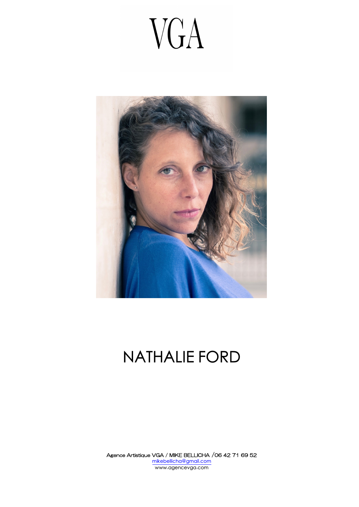# VGA



### NATHALIE FORD

Agence Artistique VGA / MIKE BELLICHA /06 42 71 69 52 mikebellicha@gmail.com www.agencevga.com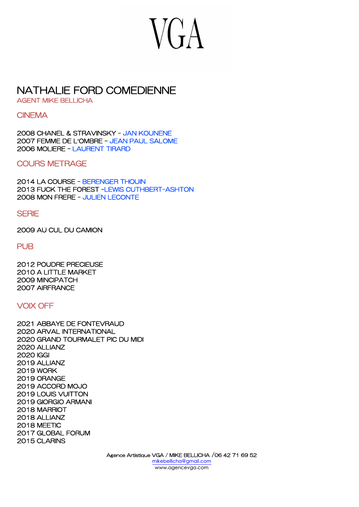## **VGA**

### NATHALIE FORD COMEDIENNE

AGENT MIKE BELLICHA

#### **CINEMA**

2008 CHANEL & STRAVINSKY – JAN KOUNENE 2007 FEMME DE L'OMBRE – JEAN PAUL SALOME 2006 MOLIERE – LAURENT TIRARD

COURS METRAGE

2014 LA COURSE - BERENGER THOUIN 2013 FUCK THE FOREST -LEWIS CUTHBERT-ASHTON 2008 MON FRERE - JULIEN LECONTE

#### **SERIE**

2009 AU CUL DU CAMION

#### PUB

2012 POUDRE PRECIEUSE 2010 A LITTLE MARKET 2009 MINCIPATCH 2007 AIRFRANCE

#### VOIX OFF

2021 ABBAYE DE FONTEVRAUD 2020 ARVAL INTERNATIONAL 2020 GRAND TOURMALET PIC DU MIDI 2020 ALLIANZ 2020 IGGI 2019 ALLIANZ 2019 WORK 2019 ORANGE 2019 ACCORD MOJO 2019 LOUIS VUITTON 2019 GIORGIO ARMANI 2018 MARRIOT 2018 ALLIANZ 2018 MEETIC 2017 GLOBAL FORUM 2015 CLARINS